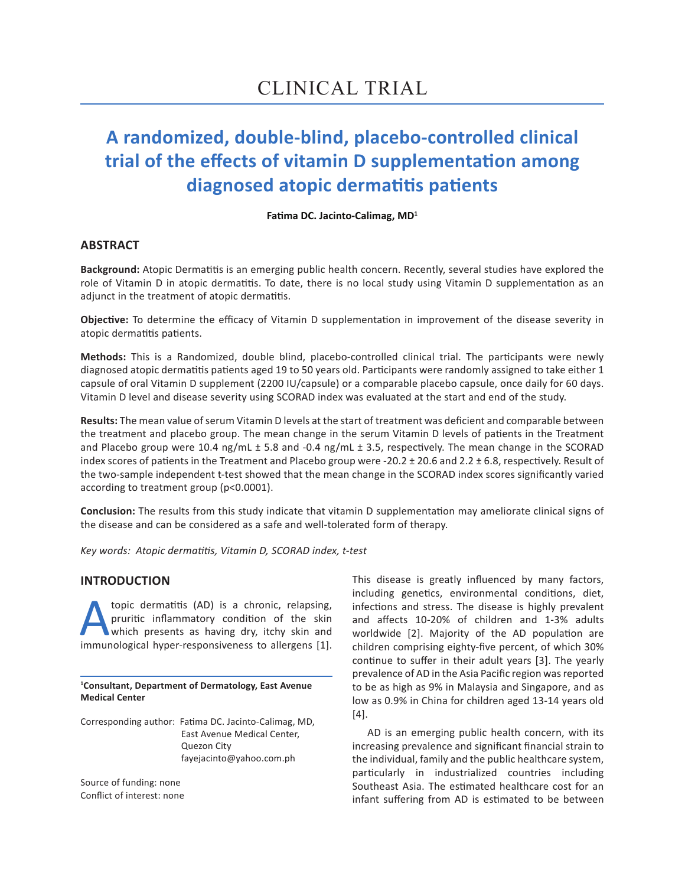# **A randomized, double-blind, placebo-controlled clinical trial of the effects of vitamin D supplementation among diagnosed atopic dermatitis patients**

**Fatima DC. Jacinto-Calimag, MD<sup>1</sup>**

## **ABSTRACT**

**Background:** Atopic Dermatitis is an emerging public health concern. Recently, several studies have explored the role of Vitamin D in atopic dermatitis. To date, there is no local study using Vitamin D supplementation as an adjunct in the treatment of atopic dermatitis.

**Objective:** To determine the efficacy of Vitamin D supplementation in improvement of the disease severity in atopic dermatitis patients.

**Methods:** This is a Randomized, double blind, placebo-controlled clinical trial. The participants were newly diagnosed atopic dermatitis patients aged 19 to 50 years old. Participants were randomly assigned to take either 1 capsule of oral Vitamin D supplement (2200 IU/capsule) or a comparable placebo capsule, once daily for 60 days. Vitamin D level and disease severity using SCORAD index was evaluated at the start and end of the study.

**Results:** The mean value of serum Vitamin D levels at the start of treatment was deficient and comparable between the treatment and placebo group. The mean change in the serum Vitamin D levels of patients in the Treatment and Placebo group were 10.4 ng/mL ± 5.8 and -0.4 ng/mL ± 3.5, respectively. The mean change in the SCORAD index scores of patients in the Treatment and Placebo group were -20.2 ± 20.6 and 2.2 ± 6.8, respectively. Result of the two-sample independent t-test showed that the mean change in the SCORAD index scores significantly varied according to treatment group (p<0.0001).

**Conclusion:** The results from this study indicate that vitamin D supplementation may ameliorate clinical signs of the disease and can be considered as a safe and well-tolerated form of therapy.

*Key words: Atopic dermatitis, Vitamin D, SCORAD index, t-test*

## **INTRODUCTION**

topic dermatitis (AD) is a chronic, relapsing,<br>pruritic inflammatory condition of the skin<br>which presents as having dry, itchy skin and<br>immunological hyper-responsiveness to allergens [1]. pruritic inflammatory condition of the skin which presents as having dry, itchy skin and immunological hyper-responsiveness to allergens [1].

**1 Consultant, Department of Dermatology, East Avenue Medical Center**

Corresponding author: Fatima DC. Jacinto-Calimag, MD, East Avenue Medical Center, Quezon City fayejacinto@yahoo.com.ph

Source of funding: none Conflict of interest: none This disease is greatly influenced by many factors, including genetics, environmental conditions, diet, infections and stress. The disease is highly prevalent and affects 10-20% of children and 1-3% adults worldwide [2]. Majority of the AD population are children comprising eighty-five percent, of which 30% continue to suffer in their adult years [3]. The yearly prevalence of AD in the Asia Pacific region was reported to be as high as 9% in Malaysia and Singapore, and as low as 0.9% in China for children aged 13-14 years old [4].

AD is an emerging public health concern, with its increasing prevalence and significant financial strain to the individual, family and the public healthcare system, particularly in industrialized countries including Southeast Asia. The estimated healthcare cost for an infant suffering from AD is estimated to be between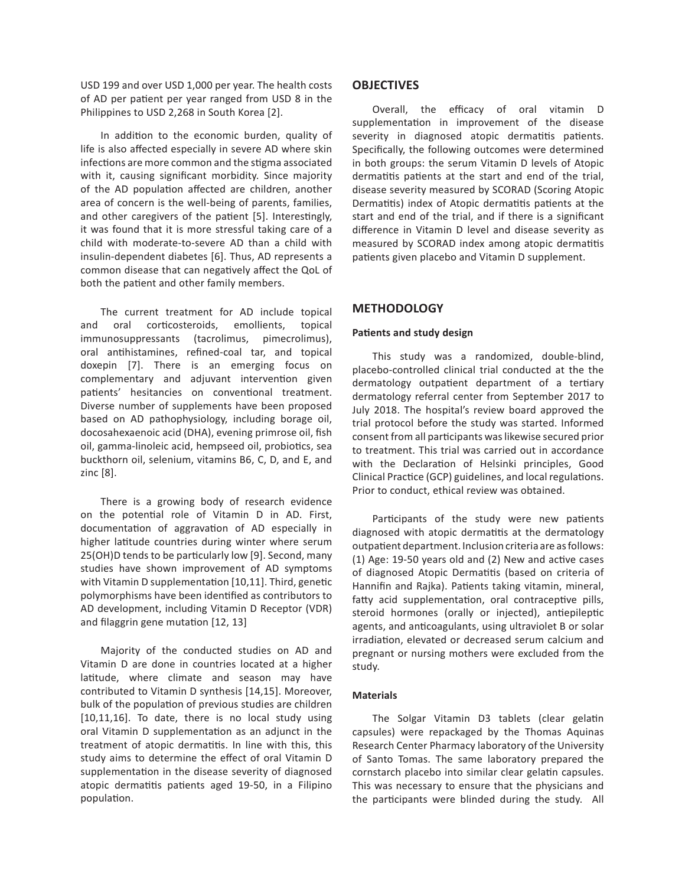USD 199 and over USD 1,000 per year. The health costs of AD per patient per year ranged from USD 8 in the Philippines to USD 2,268 in South Korea [2].

In addition to the economic burden, quality of life is also affected especially in severe AD where skin infections are more common and the stigma associated with it, causing significant morbidity. Since majority of the AD population affected are children, another area of concern is the well‐being of parents, families, and other caregivers of the patient [5]. Interestingly, it was found that it is more stressful taking care of a child with moderate‐to‐severe AD than a child with insulin‐dependent diabetes [6]. Thus, AD represents a common disease that can negatively affect the QoL of both the patient and other family members.

The current treatment for AD include topical and oral corticosteroids, emollients, topical immunosuppressants (tacrolimus, pimecrolimus), oral antihistamines, refined-coal tar, and topical doxepin [7]. There is an emerging focus on complementary and adjuvant intervention given patients' hesitancies on conventional treatment. Diverse number of supplements have been proposed based on AD pathophysiology, including borage oil, docosahexaenoic acid (DHA), evening primrose oil, fish oil, gamma-linoleic acid, hempseed oil, probiotics, sea buckthorn oil, selenium, vitamins B6, C, D, and E, and zinc [8].

There is a growing body of research evidence on the potential role of Vitamin D in AD. First, documentation of aggravation of AD especially in higher latitude countries during winter where serum 25(OH)D tends to be particularly low [9]. Second, many studies have shown improvement of AD symptoms with Vitamin D supplementation [10,11]. Third, genetic polymorphisms have been identified as contributors to AD development, including Vitamin D Receptor (VDR) and filaggrin gene mutation [12, 13]

Majority of the conducted studies on AD and Vitamin D are done in countries located at a higher latitude, where climate and season may have contributed to Vitamin D synthesis [14,15]. Moreover, bulk of the population of previous studies are children [10,11,16]. To date, there is no local study using oral Vitamin D supplementation as an adjunct in the treatment of atopic dermatitis. In line with this, this study aims to determine the effect of oral Vitamin D supplementation in the disease severity of diagnosed atopic dermatitis patients aged 19-50, in a Filipino population.

## **OBJECTIVES**

Overall, the efficacy of oral vitamin D supplementation in improvement of the disease severity in diagnosed atopic dermatitis patients. Specifically, the following outcomes were determined in both groups: the serum Vitamin D levels of Atopic dermatitis patients at the start and end of the trial, disease severity measured by SCORAD (Scoring Atopic Dermatitis) index of Atopic dermatitis patients at the start and end of the trial, and if there is a significant difference in Vitamin D level and disease severity as measured by SCORAD index among atopic dermatitis patients given placebo and Vitamin D supplement.

## **METHODOLOGY**

#### **Patients and study design**

This study was a randomized, double-blind, placebo-controlled clinical trial conducted at the the dermatology outpatient department of a tertiary dermatology referral center from September 2017 to July 2018. The hospital's review board approved the trial protocol before the study was started. Informed consent from all participants was likewise secured prior to treatment. This trial was carried out in accordance with the Declaration of Helsinki principles, Good Clinical Practice (GCP) guidelines, and local regulations. Prior to conduct, ethical review was obtained.

Participants of the study were new patients diagnosed with atopic dermatitis at the dermatology outpatient department. Inclusion criteria are as follows: (1) Age: 19-50 years old and (2) New and active cases of diagnosed Atopic Dermatitis (based on criteria of Hannifin and Rajka). Patients taking vitamin, mineral, fatty acid supplementation, oral contraceptive pills, steroid hormones (orally or injected), antiepileptic agents, and anticoagulants, using ultraviolet B or solar irradiation, elevated or decreased serum calcium and pregnant or nursing mothers were excluded from the study.

### **Materials**

The Solgar Vitamin D3 tablets (clear gelatin capsules) were repackaged by the Thomas Aquinas Research Center Pharmacy laboratory of the University of Santo Tomas. The same laboratory prepared the cornstarch placebo into similar clear gelatin capsules. This was necessary to ensure that the physicians and the participants were blinded during the study. All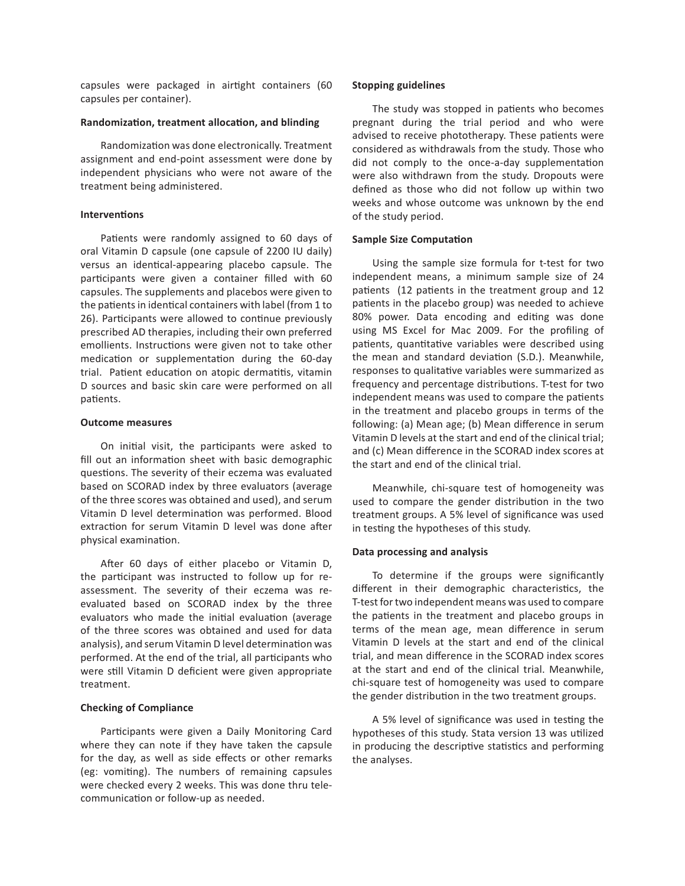capsules were packaged in airtight containers (60 capsules per container).

#### **Randomization, treatment allocation, and blinding**

Randomization was done electronically. Treatment assignment and end-point assessment were done by independent physicians who were not aware of the treatment being administered.

#### **Interventions**

Patients were randomly assigned to 60 days of oral Vitamin D capsule (one capsule of 2200 IU daily) versus an identical-appearing placebo capsule. The participants were given a container filled with 60 capsules. The supplements and placebos were given to the patients in identical containers with label (from 1 to 26). Participants were allowed to continue previously prescribed AD therapies, including their own preferred emollients. Instructions were given not to take other medication or supplementation during the 60-day trial. Patient education on atopic dermatitis, vitamin D sources and basic skin care were performed on all patients.

#### **Outcome measures**

On initial visit, the participants were asked to fill out an information sheet with basic demographic questions. The severity of their eczema was evaluated based on SCORAD index by three evaluators (average of the three scores was obtained and used), and serum Vitamin D level determination was performed. Blood extraction for serum Vitamin D level was done after physical examination.

After 60 days of either placebo or Vitamin D, the participant was instructed to follow up for reassessment. The severity of their eczema was reevaluated based on SCORAD index by the three evaluators who made the initial evaluation (average of the three scores was obtained and used for data analysis), and serum Vitamin D level determination was performed. At the end of the trial, all participants who were still Vitamin D deficient were given appropriate treatment.

#### **Checking of Compliance**

Participants were given a Daily Monitoring Card where they can note if they have taken the capsule for the day, as well as side effects or other remarks (eg: vomiting). The numbers of remaining capsules were checked every 2 weeks. This was done thru telecommunication or follow-up as needed.

#### **Stopping guidelines**

The study was stopped in patients who becomes pregnant during the trial period and who were advised to receive phototherapy. These patients were considered as withdrawals from the study. Those who did not comply to the once-a-day supplementation were also withdrawn from the study. Dropouts were defined as those who did not follow up within two weeks and whose outcome was unknown by the end of the study period.

#### **Sample Size Computation**

Using the sample size formula for t-test for two independent means, a minimum sample size of 24 patients (12 patients in the treatment group and 12 patients in the placebo group) was needed to achieve 80% power. Data encoding and editing was done using MS Excel for Mac 2009. For the profiling of patients, quantitative variables were described using the mean and standard deviation (S.D.). Meanwhile, responses to qualitative variables were summarized as frequency and percentage distributions. T-test for two independent means was used to compare the patients in the treatment and placebo groups in terms of the following: (a) Mean age; (b) Mean difference in serum Vitamin D levels at the start and end of the clinical trial; and (c) Mean difference in the SCORAD index scores at the start and end of the clinical trial.

Meanwhile, chi-square test of homogeneity was used to compare the gender distribution in the two treatment groups. A 5% level of significance was used in testing the hypotheses of this study.

#### **Data processing and analysis**

To determine if the groups were significantly different in their demographic characteristics, the T-test for two independent means was used to compare the patients in the treatment and placebo groups in terms of the mean age, mean difference in serum Vitamin D levels at the start and end of the clinical trial, and mean difference in the SCORAD index scores at the start and end of the clinical trial. Meanwhile, chi-square test of homogeneity was used to compare the gender distribution in the two treatment groups.

A 5% level of significance was used in testing the hypotheses of this study. Stata version 13 was utilized in producing the descriptive statistics and performing the analyses.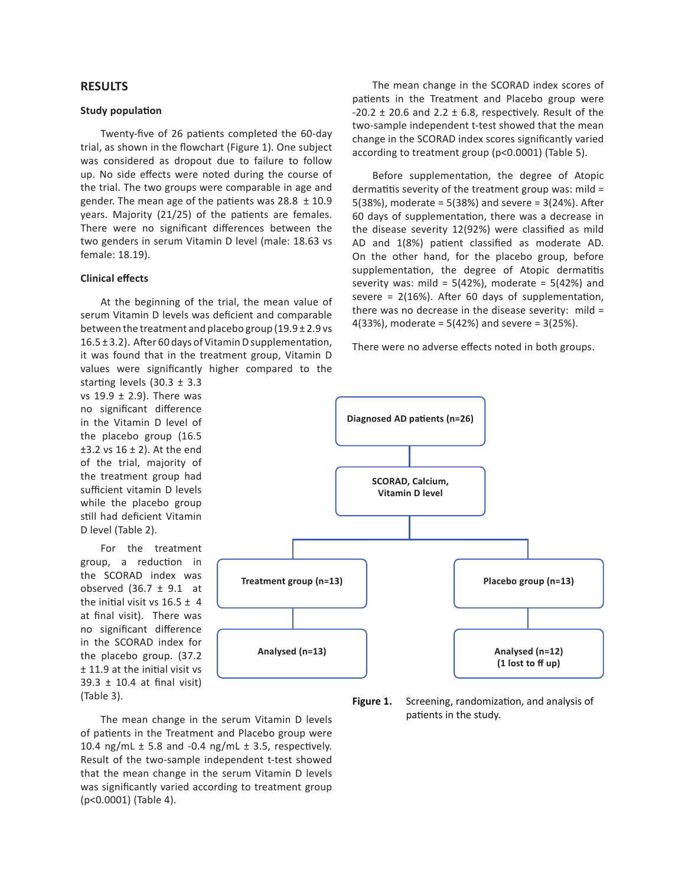### **RESULTS**

#### **Study population**

Twenty-five of 26 patients completed the 60-day trial, as shown in the flowchart (Figure 1). One subject was considered as dropout due to failure to follow up. No side effects were noted during the course of the trial. The two groups were comparable in age and gender. The mean age of the patients was  $28.8 \pm 10.9$ years. Majority (21/25) of the patients are females. There were no significant differences between the two genders in serum Vitamin D level (male: 18.63 vs female: 18.19).

### **Clinical effects**

At the beginning of the trial, the mean value of serum Vitamin D levels was deficient and comparable between the treatment and placebo group (19.9 ± 2.9 vs 16.5 ± 3.2). After 60 days of Vitamin D supplementation, it was found that in the treatment group, Vitamin D values were significantly higher compared to the

starting levels (30.3 ± 3.3 vs  $19.9 \pm 2.9$ ). There was no significant difference in the Vitamin D level of the placebo group (16.5  $±3.2$  vs  $16 ± 2$ ). At the end of the trial, majority of the treatment group had sufficient vitamin D levels while the placebo group still had deficient Vitamin D level (Table 2).

For the treatment group, a reduction in the SCORAD index was observed  $(36.7 \pm 9.1)$  at the initial visit vs  $16.5 \pm 4$ at final visit). There was no significant difference in the SCORAD index for the placebo group. (37.2 ± 11.9 at the initial visit vs 39.3 ± 10.4 at final visit) (Table 3).

The mean change in the SCORAD index scores of patients in the Treatment and Placebo group were  $-20.2 \pm 20.6$  and 2.2  $\pm$  6.8, respectively. Result of the two-sample independent t-test showed that the mean change in the SCORAD index scores significantly varied according to treatment group (p<0.0001) (Table 5).

Before supplementation, the degree of Atopic dermatitis severity of the treatment group was: mild = 5(38%), moderate = 5(38%) and severe = 3(24%). After 60 days of supplementation, there was a decrease in the disease severity 12(92%) were classified as mild AD and 1(8%) patient classified as moderate AD. On the other hand, for the placebo group, before supplementation, the degree of Atopic dermatitis severity was: mild =  $5(42%)$ , moderate =  $5(42%)$  and severe =  $2(16%)$ . After 60 days of supplementation, there was no decrease in the disease severity: mild = 4(33%), moderate = 5(42%) and severe = 3(25%).

There were no adverse effects noted in both groups.



**Figure 1.** Screening, randomization, and analysis of patients in the study.

The mean change in the serum Vitamin D levels of patients in the Treatment and Placebo group were 10.4 ng/mL  $\pm$  5.8 and -0.4 ng/mL  $\pm$  3.5, respectively. Result of the two-sample independent t-test showed that the mean change in the serum Vitamin D levels was significantly varied according to treatment group (p<0.0001) (Table 4).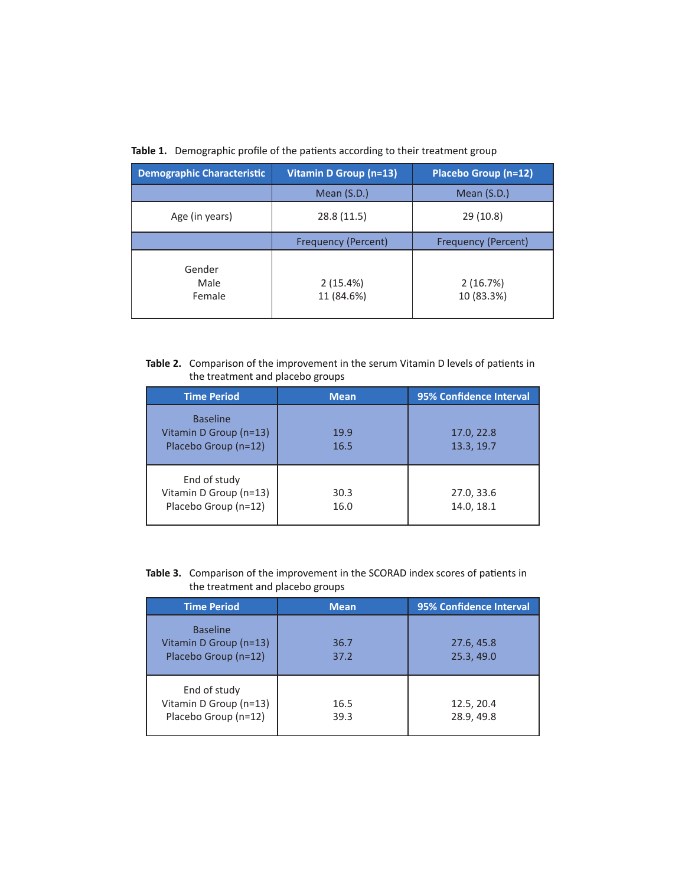| <b>Demographic Characteristic</b> | Vitamin D Group (n=13)     | Placebo Group (n=12)       |
|-----------------------------------|----------------------------|----------------------------|
|                                   | Mean (S.D.)                | Mean (S.D.)                |
| Age (in years)                    | 28.8(11.5)                 | 29 (10.8)                  |
|                                   | <b>Frequency (Percent)</b> | <b>Frequency (Percent)</b> |
| Gender<br>Male<br>Female          | 2(15.4%)<br>11 (84.6%)     | 2(16.7%)<br>10 (83.3%)     |

## **Table 1.** Demographic profile of the patients according to their treatment group

## **Table 2.** Comparison of the improvement in the serum Vitamin D levels of patients in the treatment and placebo groups

| <b>Time Period</b>                                                | <b>Mean</b>  | 95% Confidence Interval  |
|-------------------------------------------------------------------|--------------|--------------------------|
| <b>Baseline</b><br>Vitamin D Group (n=13)<br>Placebo Group (n=12) | 19.9<br>16.5 | 17.0, 22.8<br>13.3, 19.7 |
| End of study<br>Vitamin D Group (n=13)<br>Placebo Group (n=12)    | 30.3<br>16.0 | 27.0, 33.6<br>14.0, 18.1 |

## **Table 3.** Comparison of the improvement in the SCORAD index scores of patients in the treatment and placebo groups

| <b>Time Period</b>                                                | <b>Mean</b>  | 95% Confidence Interval  |
|-------------------------------------------------------------------|--------------|--------------------------|
| <b>Baseline</b><br>Vitamin D Group (n=13)<br>Placebo Group (n=12) | 36.7<br>37.2 | 27.6, 45.8<br>25.3, 49.0 |
| End of study<br>Vitamin D Group (n=13)<br>Placebo Group (n=12)    | 16.5<br>39.3 | 12.5, 20.4<br>28.9, 49.8 |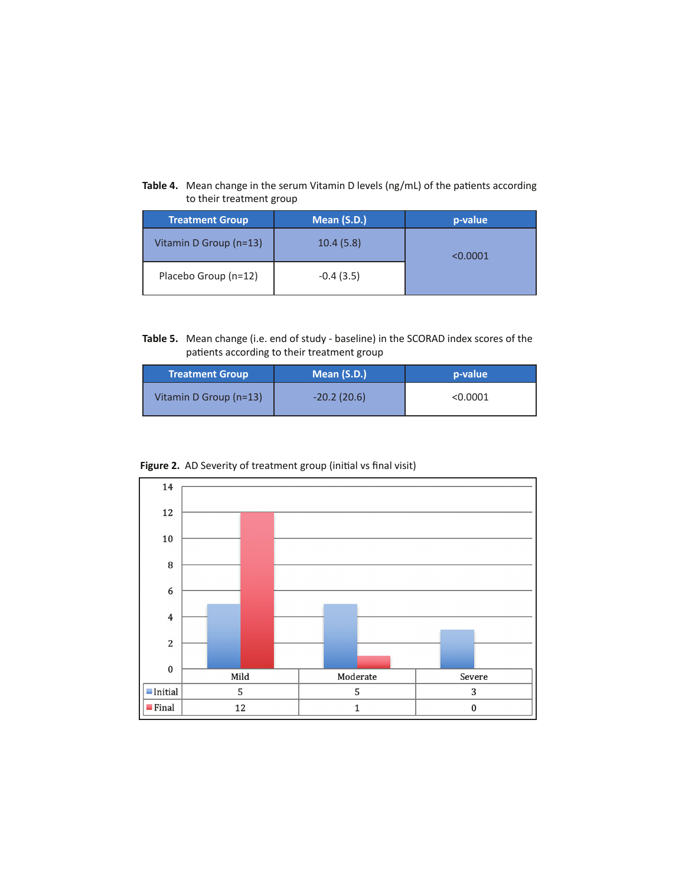## **Table 4.** Mean change in the serum Vitamin D levels (ng/mL) of the patients according to their treatment group

| <b>Treatment Group</b> | Mean (S.D.) | p-value  |
|------------------------|-------------|----------|
| Vitamin D Group (n=13) | 10.4(5.8)   | < 0.0001 |
| Placebo Group (n=12)   | $-0.4(3.5)$ |          |

**Table 5.** Mean change (i.e. end of study - baseline) in the SCORAD index scores of the patients according to their treatment group

| <b>Treatment Group</b> | Mean (S.D.)   | p-value  |
|------------------------|---------------|----------|
| Vitamin D Group (n=13) | $-20.2(20.6)$ | < 0.0001 |



**Figure 2.** AD Severity of treatment group (initial vs final visit)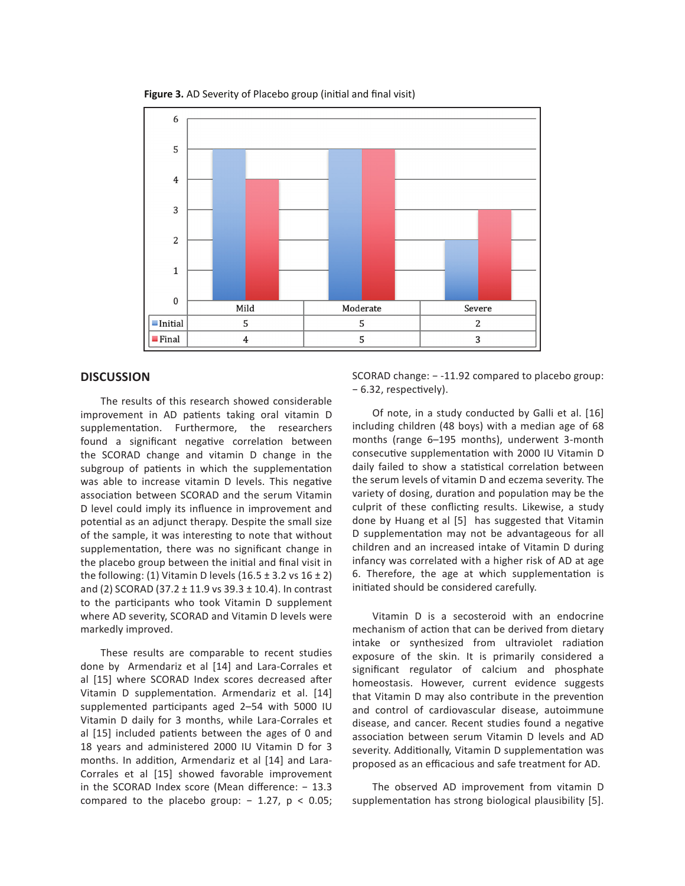

**Figure 3.** AD Severity of Placebo group (initial and final visit)

## **DISCUSSION**

The results of this research showed considerable improvement in AD patients taking oral vitamin D supplementation. Furthermore, the researchers found a significant negative correlation between the SCORAD change and vitamin D change in the subgroup of patients in which the supplementation was able to increase vitamin D levels. This negative association between SCORAD and the serum Vitamin D level could imply its influence in improvement and potential as an adjunct therapy. Despite the small size of the sample, it was interesting to note that without supplementation, there was no significant change in the placebo group between the initial and final visit in the following: (1) Vitamin D levels (16.5  $\pm$  3.2 vs 16  $\pm$  2) and (2) SCORAD (37.2 ± 11.9 vs 39.3 ± 10.4). In contrast to the participants who took Vitamin D supplement where AD severity, SCORAD and Vitamin D levels were markedly improved.

These results are comparable to recent studies done by Armendariz et al [14] and Lara-Corrales et al [15] where SCORAD Index scores decreased after Vitamin D supplementation. Armendariz et al. [14] supplemented participants aged 2–54 with 5000 IU Vitamin D daily for 3 months, while Lara-Corrales et al [15] included patients between the ages of 0 and 18 years and administered 2000 IU Vitamin D for 3 months. In addition, Armendariz et al [14] and Lara-Corrales et al [15] showed favorable improvement in the SCORAD Index score (Mean difference: − 13.3 compared to the placebo group:  $-1.27$ ,  $p < 0.05$ ;

SCORAD change: − -11.92 compared to placebo group: − 6.32, respectively).

Of note, in a study conducted by Galli et al. [16] including children (48 boys) with a median age of 68 months (range 6–195 months), underwent 3-month consecutive supplementation with 2000 IU Vitamin D daily failed to show a statistical correlation between the serum levels of vitamin D and eczema severity. The variety of dosing, duration and population may be the culprit of these conflicting results. Likewise, a study done by Huang et al [5] has suggested that Vitamin D supplementation may not be advantageous for all children and an increased intake of Vitamin D during infancy was correlated with a higher risk of AD at age 6. Therefore, the age at which supplementation is initiated should be considered carefully.

Vitamin D is a secosteroid with an endocrine mechanism of action that can be derived from dietary intake or synthesized from ultraviolet radiation exposure of the skin. It is primarily considered a significant regulator of calcium and phosphate homeostasis. However, current evidence suggests that Vitamin D may also contribute in the prevention and control of cardiovascular disease, autoimmune disease, and cancer. Recent studies found a negative association between serum Vitamin D levels and AD severity. Additionally, Vitamin D supplementation was proposed as an efficacious and safe treatment for AD.

The observed AD improvement from vitamin D supplementation has strong biological plausibility [5].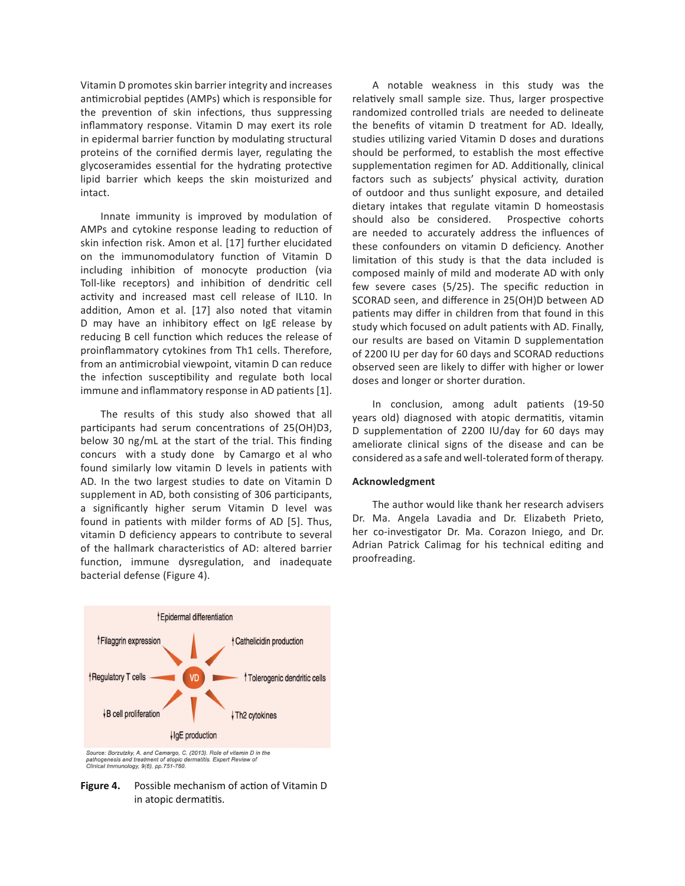Vitamin D promotes skin barrier integrity and increases antimicrobial peptides (AMPs) which is responsible for the prevention of skin infections, thus suppressing inflammatory response. Vitamin D may exert its role in epidermal barrier function by modulating structural proteins of the cornified dermis layer, regulating the glycoseramides essential for the hydrating protective lipid barrier which keeps the skin moisturized and intact.

Innate immunity is improved by modulation of AMPs and cytokine response leading to reduction of skin infection risk. Amon et al. [17] further elucidated on the immunomodulatory function of Vitamin D including inhibition of monocyte production (via Toll-like receptors) and inhibition of dendritic cell activity and increased mast cell release of IL10. In addition, Amon et al. [17] also noted that vitamin D may have an inhibitory effect on IgE release by reducing B cell function which reduces the release of proinflammatory cytokines from Th1 cells. Therefore, from an antimicrobial viewpoint, vitamin D can reduce the infection susceptibility and regulate both local immune and inflammatory response in AD patients [1].

The results of this study also showed that all participants had serum concentrations of 25(OH)D3, below 30 ng/mL at the start of the trial. This finding concurs with a study done by Camargo et al who found similarly low vitamin D levels in patients with AD. In the two largest studies to date on Vitamin D supplement in AD, both consisting of 306 participants, a significantly higher serum Vitamin D level was found in patients with milder forms of AD [5]. Thus, vitamin D deficiency appears to contribute to several of the hallmark characteristics of AD: altered barrier function, immune dysregulation, and inadequate bacterial defense (Figure 4).



Source: Borzutzky, A. and Camargo, C. (2013). Role of vitamin D in the pathogenesis and treatment of atopic dermatitis. Expert Review of Clinical Immunology, 9(8), pp.751-760.

**Figure 4.** Possible mechanism of action of Vitamin D in atopic dermatitis.

A notable weakness in this study was the relatively small sample size. Thus, larger prospective randomized controlled trials are needed to delineate the benefits of vitamin D treatment for AD. Ideally, studies utilizing varied Vitamin D doses and durations should be performed, to establish the most effective supplementation regimen for AD. Additionally, clinical factors such as subjects' physical activity, duration of outdoor and thus sunlight exposure, and detailed dietary intakes that regulate vitamin D homeostasis should also be considered. Prospective cohorts are needed to accurately address the influences of these confounders on vitamin D deficiency. Another limitation of this study is that the data included is composed mainly of mild and moderate AD with only few severe cases (5/25). The specific reduction in SCORAD seen, and difference in 25(OH)D between AD patients may differ in children from that found in this study which focused on adult patients with AD. Finally, our results are based on Vitamin D supplementation of 2200 IU per day for 60 days and SCORAD reductions observed seen are likely to differ with higher or lower doses and longer or shorter duration.

In conclusion, among adult patients (19-50 years old) diagnosed with atopic dermatitis, vitamin D supplementation of 2200 IU/day for 60 days may ameliorate clinical signs of the disease and can be considered as a safe and well-tolerated form of therapy.

### **Acknowledgment**

The author would like thank her research advisers Dr. Ma. Angela Lavadia and Dr. Elizabeth Prieto, her co-investigator Dr. Ma. Corazon Iniego, and Dr. Adrian Patrick Calimag for his technical editing and proofreading.